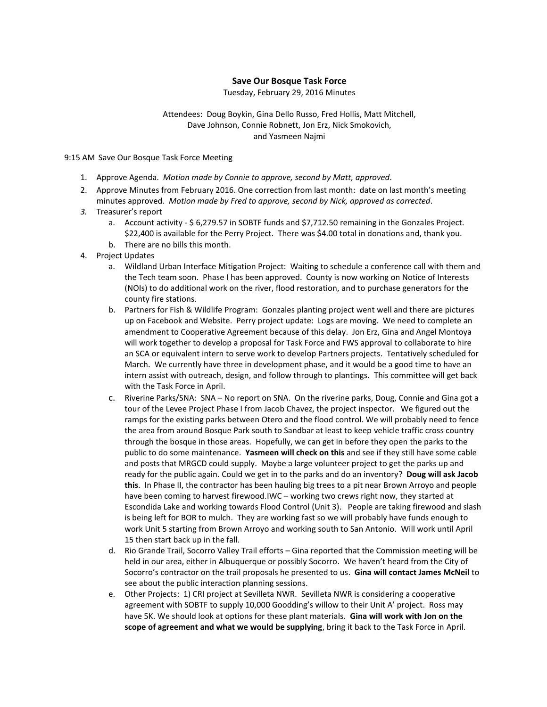## **Save Our Bosque Task Force**

Tuesday, February 29, 2016 Minutes

## Attendees: Doug Boykin, Gina Dello Russo, Fred Hollis, Matt Mitchell, Dave Johnson, Connie Robnett, Jon Erz, Nick Smokovich, and Yasmeen Najmi

9:15 AM Save Our Bosque Task Force Meeting

- 1. Approve Agenda. *Motion made by Connie to approve, second by Matt, approved*.
- 2. Approve Minutes from February 2016. One correction from last month: date on last month's meeting minutes approved. *Motion made by Fred to approve, second by Nick, approved as corrected*.
- *3.* Treasurer's report
	- a. Account activity \$ 6,279.57 in SOBTF funds and \$7,712.50 remaining in the Gonzales Project. \$22,400 is available for the Perry Project. There was \$4.00 total in donations and, thank you.
	- b. There are no bills this month.
- 4. Project Updates
	- a. Wildland Urban Interface Mitigation Project: Waiting to schedule a conference call with them and the Tech team soon. Phase I has been approved. County is now working on Notice of Interests (NOIs) to do additional work on the river, flood restoration, and to purchase generators for the county fire stations.
	- b. Partners for Fish & Wildlife Program: Gonzales planting project went well and there are pictures up on Facebook and Website. Perry project update: Logs are moving. We need to complete an amendment to Cooperative Agreement because of this delay. Jon Erz, Gina and Angel Montoya will work together to develop a proposal for Task Force and FWS approval to collaborate to hire an SCA or equivalent intern to serve work to develop Partners projects. Tentatively scheduled for March. We currently have three in development phase, and it would be a good time to have an intern assist with outreach, design, and follow through to plantings. This committee will get back with the Task Force in April.
	- c. Riverine Parks/SNA: SNA No report on SNA. On the riverine parks, Doug, Connie and Gina got a tour of the Levee Project Phase I from Jacob Chavez, the project inspector. We figured out the ramps for the existing parks between Otero and the flood control. We will probably need to fence the area from around Bosque Park south to Sandbar at least to keep vehicle traffic cross country through the bosque in those areas. Hopefully, we can get in before they open the parks to the public to do some maintenance. **Yasmeen will check on this** and see if they still have some cable and posts that MRGCD could supply. Maybe a large volunteer project to get the parks up and ready for the public again. Could we get in to the parks and do an inventory? **Doug will ask Jacob this**. In Phase II, the contractor has been hauling big trees to a pit near Brown Arroyo and people have been coming to harvest firewood.IWC – working two crews right now, they started at Escondida Lake and working towards Flood Control (Unit 3). People are taking firewood and slash is being left for BOR to mulch. They are working fast so we will probably have funds enough to work Unit 5 starting from Brown Arroyo and working south to San Antonio. Will work until April 15 then start back up in the fall.
	- d. Rio Grande Trail, Socorro Valley Trail efforts Gina reported that the Commission meeting will be held in our area, either in Albuquerque or possibly Socorro. We haven't heard from the City of Socorro's contractor on the trail proposals he presented to us. **Gina will contact James McNeil** to see about the public interaction planning sessions.
	- e. Other Projects: 1) CRI project at Sevilleta NWR. Sevilleta NWR is considering a cooperative agreement with SOBTF to supply 10,000 Goodding's willow to their Unit A' project. Ross may have 5K. We should look at options for these plant materials. **Gina will work with Jon on the scope of agreement and what we would be supplying**, bring it back to the Task Force in April.